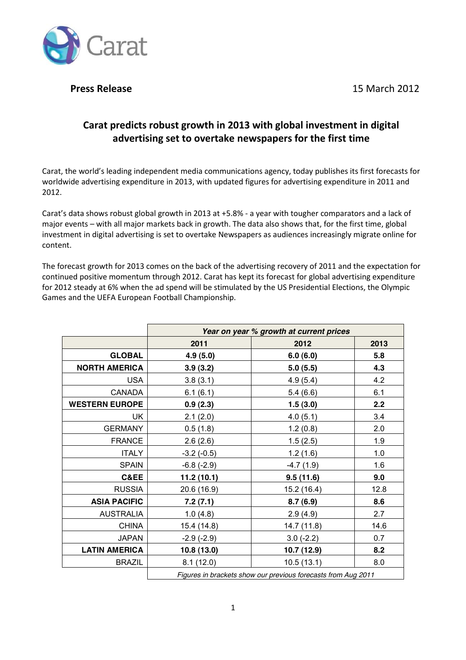**Press Release 2012 Press Release** 2012



# Carat predicts robust growth in 2013 with global investment in digital **advertising set to overtake newspapers for the first time**

Carat, the world's leading independent media communications agency, today publishes its first forecasts for worldwide advertising expenditure in 2013, with updated figures for advertising expenditure in 2011 and 2012."

Carat's data shows robust global growth in 2013 at +5.8% - a year with tougher comparators and a lack of major events - with all major markets back in growth. The data also shows that, for the first time, global investment in digital advertising is set to overtake Newspapers as audiences increasingly migrate online for content.

The forecast growth for 2013 comes on the back of the advertising recovery of 2011 and the expectation for continued positive momentum through 2012. Carat has kept its forecast for global advertising expenditure for 2012 steady at 6% when the ad spend will be stimulated by the US Presidential Elections, the Olympic Games and the UEFA European Football Championship.

|                       | Year on year % growth at current prices                       |             |      |
|-----------------------|---------------------------------------------------------------|-------------|------|
|                       | 2011                                                          | 2012        | 2013 |
| <b>GLOBAL</b>         | 4.9(5.0)                                                      | 6.0(6.0)    | 5.8  |
| <b>NORTH AMERICA</b>  | 3.9(3.2)                                                      | 5.0(5.5)    | 4.3  |
| <b>USA</b>            | 3.8(3.1)                                                      | 4.9(5.4)    | 4.2  |
| <b>CANADA</b>         | 6.1(6.1)                                                      | 5.4(6.6)    | 6.1  |
| <b>WESTERN EUROPE</b> | 0.9(2.3)                                                      | 1.5(3.0)    | 2.2  |
| <b>UK</b>             | 2.1(2.0)                                                      | 4.0(5.1)    | 3.4  |
| <b>GERMANY</b>        | 0.5(1.8)                                                      | 1.2(0.8)    | 2.0  |
| <b>FRANCE</b>         | 2.6(2.6)                                                      | 1.5(2.5)    | 1.9  |
| <b>ITALY</b>          | $-3.2$ $(-0.5)$                                               | 1.2(1.6)    | 1.0  |
| <b>SPAIN</b>          | $-6.8(-2.9)$                                                  | $-4.7(1.9)$ | 1.6  |
| C&EE                  | 11.2(10.1)                                                    | 9.5(11.6)   | 9.0  |
| <b>RUSSIA</b>         | 20.6 (16.9)                                                   | 15.2 (16.4) | 12.8 |
| <b>ASIA PACIFIC</b>   | 7.2(7.1)                                                      | 8.7(6.9)    | 8.6  |
| <b>AUSTRALIA</b>      | 1.0(4.8)                                                      | 2.9(4.9)    | 2.7  |
| <b>CHINA</b>          | 15.4 (14.8)                                                   | 14.7 (11.8) | 14.6 |
| <b>JAPAN</b>          | $-2.9(-2.9)$                                                  | $3.0(-2.2)$ | 0.7  |
| <b>LATIN AMERICA</b>  | 10.8 (13.0)                                                   | 10.7 (12.9) | 8.2  |
| <b>BRAZIL</b>         | 8.1(12.0)                                                     | 10.5(13.1)  | 8.0  |
|                       | Figures in brackets show our previous forecasts from Aug 2011 |             |      |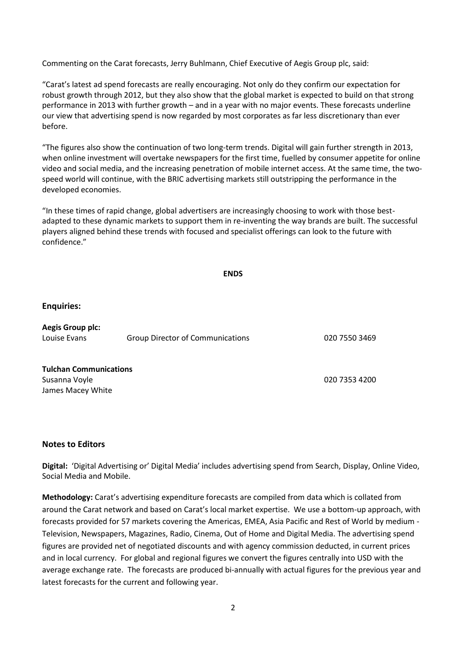Commenting on the Carat forecasts, Jerry Buhlmann, Chief Executive of Aegis Group plc, said:

"Carat's latest ad spend forecasts are really encouraging. Not only do they confirm our expectation for robust growth through 2012, but they also show that the global market is expected to build on that strong performance in 2013 with further growth – and in a year with no major events. These forecasts underline our view that advertising spend is now regarded by most corporates as far less discretionary than ever before.

"The figures also show the continuation of two long-term trends. Digital will gain further strength in 2013, when online investment will overtake newspapers for the first time, fuelled by consumer appetite for online video and social media, and the increasing penetration of mobile internet access. At the same time, the twospeed world will continue, with the BRIC advertising markets still outstripping the performance in the developed economies.

"In these times of rapid change, global advertisers are increasingly choosing to work with those bestadapted to these dynamic markets to support them in re-inventing the way brands are built. The successful players aligned behind these trends with focused and specialist offerings can look to the future with confidence."

#### **ENDS**

#### **Enquiries:**

Aegis Group plc: Louise Evans Group Director of Communications 6000 7550 3469

**Tulchan!Communications** Susanna"Voyle" 020"7353"4200 James Macey White

#### **Notes to Editors**

Digital: 'Digital Advertising or' Digital Media' includes advertising spend from Search, Display, Online Video, Social Media and Mobile.

**Methodology:** Carat's advertising expenditure forecasts are compiled from data which is collated from around the Carat network and based on Carat's local market expertise. We use a bottom-up approach, with forecasts provided for 57 markets covering the Americas, EMEA, Asia Pacific and Rest of World by medium -Television, Newspapers, Magazines, Radio, Cinema, Out of Home and Digital Media. The advertising spend figures are provided net of negotiated discounts and with agency commission deducted, in current prices and in local currency. For global and regional figures we convert the figures centrally into USD with the average exchange rate. The forecasts are produced bi-annually with actual figures for the previous year and latest forecasts for the current and following year.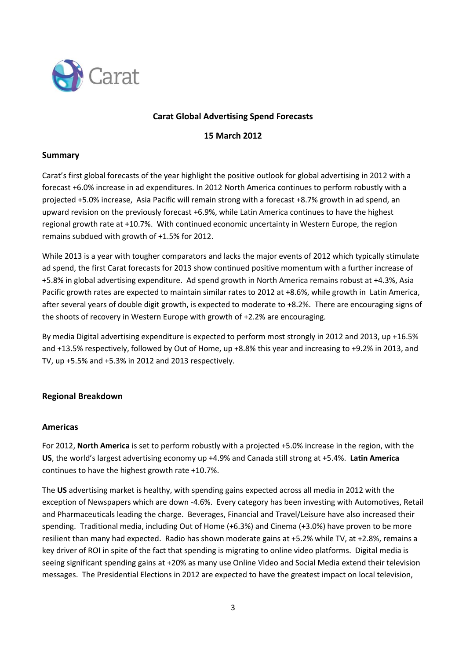

# **Carat!Global!Advertising!Spend!Forecasts**

**15!March!2012**

### **Summary**

Carat's first global forecasts of the year highlight the positive outlook for global advertising in 2012 with a forecast +6.0% increase in ad expenditures. In 2012 North America continues to perform robustly with a projected +5.0% increase, Asia Pacific will remain strong with a forecast +8.7% growth in ad spend, an upward revision on the previously forecast +6.9%, while Latin America continues to have the highest regional growth rate at +10.7%. With continued economic uncertainty in Western Europe, the region remains subdued with growth of +1.5% for 2012.

While 2013 is a year with tougher comparators and lacks the major events of 2012 which typically stimulate ad spend, the first Carat forecasts for 2013 show continued positive momentum with a further increase of +5.8% in global advertising expenditure. Ad spend growth in North America remains robust at +4.3%, Asia Pacific growth rates are expected to maintain similar rates to 2012 at +8.6%, while growth in Latin America, after several years of double digit growth, is expected to moderate to +8.2%. There are encouraging signs of the shoots of recovery in Western Europe with growth of +2.2% are encouraging.

By media Digital advertising expenditure is expected to perform most strongly in 2012 and 2013, up +16.5% and +13.5% respectively, followed by Out of Home, up +8.8% this year and increasing to +9.2% in 2013, and TV, up +5.5% and +5.3% in 2012 and 2013 respectively.

## **Regional!Breakdown**

#### **Americas**

For 2012, **North America** is set to perform robustly with a projected +5.0% increase in the region, with the US, the world's largest advertising economy up +4.9% and Canada still strong at +5.4%. Latin America continues to have the highest growth rate  $+10.7\%$ .

The US advertising market is healthy, with spending gains expected across all media in 2012 with the exception of Newspapers which are down -4.6%. Every category has been investing with Automotives, Retail and Pharmaceuticals leading the charge. Beverages, Financial and Travel/Leisure have also increased their spending. Traditional media, including Out of Home (+6.3%) and Cinema (+3.0%) have proven to be more resilient than many had expected. Radio has shown moderate gains at +5.2% while TV, at +2.8%, remains a key driver of ROI in spite of the fact that spending is migrating to online video platforms. Digital media is seeing significant spending gains at +20% as many use Online Video and Social Media extend their television messages. The Presidential Elections in 2012 are expected to have the greatest impact on local television,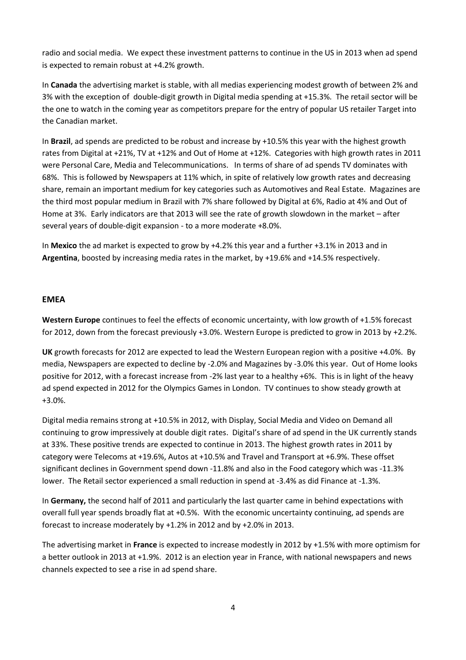radio and social media. We expect these investment patterns to continue in the US in 2013 when ad spend is expected to remain robust at  $+4.2%$  growth.

In **Canada** the advertising market is stable, with all medias experiencing modest growth of between 2% and 3% with the exception of double-digit growth in Digital media spending at +15.3%. The retail sector will be the one to watch in the coming year as competitors prepare for the entry of popular US retailer Target into the Canadian market.

In Brazil, ad spends are predicted to be robust and increase by +10.5% this year with the highest growth rates from Digital at +21%, TV at +12% and Out of Home at +12%. Categories with high growth rates in 2011 were Personal Care, Media and Telecommunications. In terms of share of ad spends TV dominates with 68%. This is followed by Newspapers at 11% which, in spite of relatively low growth rates and decreasing share, remain an important medium for key categories such as Automotives and Real Estate. Magazines are the third most popular medium in Brazil with 7% share followed by Digital at 6%, Radio at 4% and Out of Home at 3%. Early indicators are that 2013 will see the rate of growth slowdown in the market - after several years of double-digit expansion - to a more moderate +8.0%.

In Mexico the ad market is expected to grow by +4.2% this year and a further +3.1% in 2013 and in Argentina, boosted by increasing media rates in the market, by +19.6% and +14.5% respectively.

### **EMEA**

Western Europe continues to feel the effects of economic uncertainty, with low growth of +1.5% forecast for 2012, down from the forecast previously +3.0%. Western Europe is predicted to grow in 2013 by +2.2%.

**UK** growth forecasts for 2012 are expected to lead the Western European region with a positive +4.0%. By media, Newspapers are expected to decline by -2.0% and Magazines by -3.0% this year. Out of Home looks positive for 2012, with a forecast increase from -2% last year to a healthy +6%. This is in light of the heavy ad spend expected in 2012 for the Olympics Games in London. TV continues to show steady growth at +3.0%.

Digital media remains strong at +10.5% in 2012, with Display, Social Media and Video on Demand all continuing to grow impressively at double digit rates. Digital's share of ad spend in the UK currently stands at 33%. These positive trends are expected to continue in 2013. The highest growth rates in 2011 by category were Telecoms at +19.6%, Autos at +10.5% and Travel and Transport at +6.9%. These offset significant declines in Government spend down -11.8% and also in the Food category which was -11.3% lower. The Retail sector experienced a small reduction in spend at -3.4% as did Finance at -1.3%.

In Germany, the second half of 2011 and particularly the last quarter came in behind expectations with overall full year spends broadly flat at +0.5%. With the economic uncertainty continuing, ad spends are forecast to increase moderately by  $+1.2%$  in 2012 and by  $+2.0%$  in 2013.

The advertising market in **France** is expected to increase modestly in 2012 by +1.5% with more optimism for a better outlook in 2013 at +1.9%. 2012 is an election year in France, with national newspapers and news channels expected to see a rise in ad spend share.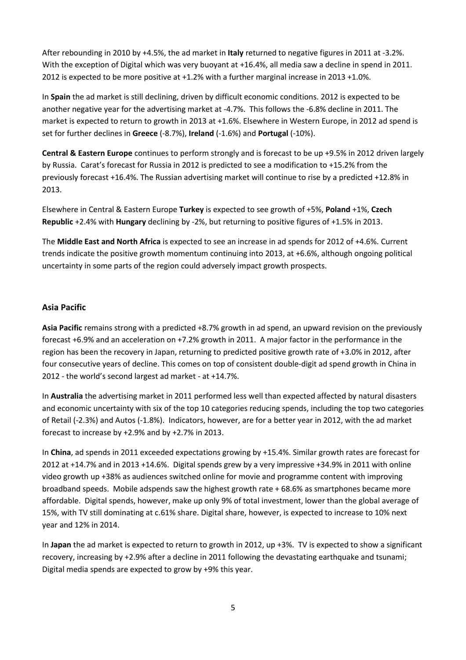After rebounding in 2010 by +4.5%, the ad market in Italy returned to negative figures in 2011 at -3.2%. With the exception of Digital which was very buoyant at +16.4%, all media saw a decline in spend in 2011. 2012 is expected to be more positive at +1.2% with a further marginal increase in 2013 +1.0%.

In Spain the ad market is still declining, driven by difficult economic conditions. 2012 is expected to be another negative year for the advertising market at -4.7%. This follows the -6.8% decline in 2011. The market is expected to return to growth in 2013 at +1.6%. Elsewhere in Western Europe, in 2012 ad spend is set for further declines in Greece (-8.7%), Ireland (-1.6%) and Portugal (-10%).

**Central & Eastern Europe** continues to perform strongly and is forecast to be up +9.5% in 2012 driven largely by Russia. Carat's forecast for Russia in 2012 is predicted to see a modification to +15.2% from the previously forecast +16.4%. The Russian advertising market will continue to rise by a predicted +12.8% in 2013.

Elsewhere in Central & Eastern Europe Turkey is expected to see growth of +5%, Poland +1%, Czech **Republic** +2.4% with **Hungary** declining by -2%, but returning to positive figures of +1.5% in 2013.

The **Middle East and North Africa** is expected to see an increase in ad spends for 2012 of +4.6%. Current trends indicate the positive growth momentum continuing into 2013, at +6.6%, although ongoing political uncertainty in some parts of the region could adversely impact growth prospects.

## **Asia!Pacific**

**Asia Pacific** remains strong with a predicted +8.7% growth in ad spend, an upward revision on the previously forecast +6.9% and an acceleration on +7.2% growth in 2011. A major factor in the performance in the region has been the recovery in Japan, returning to predicted positive growth rate of +3.0% in 2012, after four consecutive years of decline. This comes on top of consistent double-digit ad spend growth in China in 2012 - the world's second largest ad market - at +14.7%.

In **Australia** the advertising market in 2011 performed less well than expected affected by natural disasters and economic uncertainty with six of the top 10 categories reducing spends, including the top two categories of Retail (-2.3%) and Autos (-1.8%). Indicators, however, are for a better year in 2012, with the ad market forecast to increase by  $+2.9%$  and by  $+2.7%$  in 2013.

In China, ad spends in 2011 exceeded expectations growing by +15.4%. Similar growth rates are forecast for 2012 at  $+14.7%$  and in 2013  $+14.6%$ . Digital spends grew by a very impressive  $+34.9%$  in 2011 with online video growth up +38% as audiences switched online for movie and programme content with improving broadband speeds. Mobile adspends saw the highest growth rate + 68.6% as smartphones became more affordable. Digital spends, however, make up only 9% of total investment, lower than the global average of 15%, with TV still dominating at c.61% share. Digital share, however, is expected to increase to 10% next year and 12% in 2014.

In Japan the ad market is expected to return to growth in 2012, up +3%. TV is expected to show a significant recovery, increasing by +2.9% after a decline in 2011 following the devastating earthquake and tsunami; Digital media spends are expected to grow by +9% this year.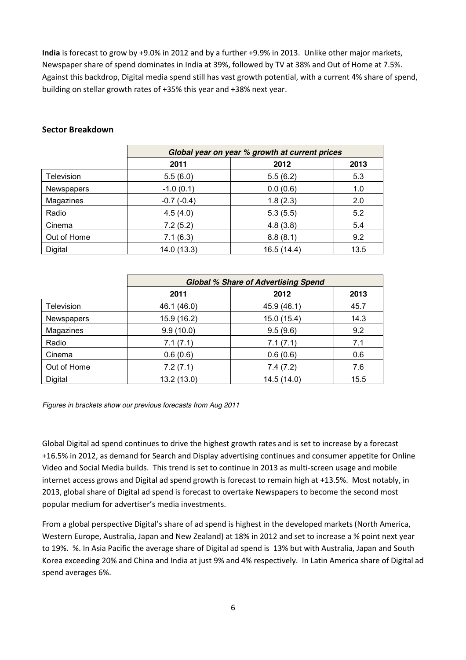India is forecast to grow by +9.0% in 2012 and by a further +9.9% in 2013. Unlike other major markets, Newspaper share of spend dominates in India at 39%, followed by TV at 38% and Out of Home at 7.5%. Against this backdrop, Digital media spend still has vast growth potential, with a current 4% share of spend, building on stellar growth rates of +35% this year and +38% next year.

### **Sector!Breakdown**

|                   | Global year on year % growth at current prices |             |      |
|-------------------|------------------------------------------------|-------------|------|
|                   | 2011                                           | 2012        | 2013 |
| <b>Television</b> | 5.5(6.0)                                       | 5.5(6.2)    | 5.3  |
| <b>Newspapers</b> | $-1.0(0.1)$                                    | 0.0(0.6)    | 1.0  |
| Magazines         | $-0.7(-0.4)$                                   | 1.8(2.3)    | 2.0  |
| Radio             | 4.5(4.0)                                       | 5.3(5.5)    | 5.2  |
| Cinema            | 7.2(5.2)                                       | 4.8(3.8)    | 5.4  |
| Out of Home       | 7.1(6.3)                                       | 8.8(8.1)    | 9.2  |
| Digital           | 14.0 (13.3)                                    | 16.5 (14.4) | 13.5 |

|                   | <b>Global % Share of Advertising Spend</b> |             |      |
|-------------------|--------------------------------------------|-------------|------|
|                   | 2011                                       | 2012        | 2013 |
| <b>Television</b> | 46.1 (46.0)                                | 45.9 (46.1) | 45.7 |
| Newspapers        | 15.9 (16.2)                                | 15.0 (15.4) | 14.3 |
| Magazines         | 9.9(10.0)                                  | 9.5(9.6)    | 9.2  |
| Radio             | 7.1(7.1)                                   | 7.1(7.1)    | 7.1  |
| Cinema            | 0.6(0.6)                                   | 0.6(0.6)    | 0.6  |
| Out of Home       | 7.2(7.1)                                   | 7.4(7.2)    | 7.6  |
| Digital           | 13.2 (13.0)                                | 14.5 (14.0) | 15.5 |

*Figures in brackets show our previous forecasts from Aug 2011*

Global Digital ad spend continues to drive the highest growth rates and is set to increase by a forecast +16.5% in 2012, as demand for Search and Display advertising continues and consumer appetite for Online Video and Social Media builds. This trend is set to continue in 2013 as multi-screen usage and mobile internet access grows and Digital ad spend growth is forecast to remain high at +13.5%. Most notably, in 2013, global share of Digital ad spend is forecast to overtake Newspapers to become the second most popular medium for advertiser's media investments.

From a global perspective Digital's share of ad spend is highest in the developed markets (North America, Western Europe, Australia, Japan and New Zealand) at 18% in 2012 and set to increase a % point next year to 19%. %. In Asia Pacific the average share of Digital ad spend is 13% but with Australia, Japan and South Korea exceeding 20% and China and India at just 9% and 4% respectively. In Latin America share of Digital ad spend averages 6%.